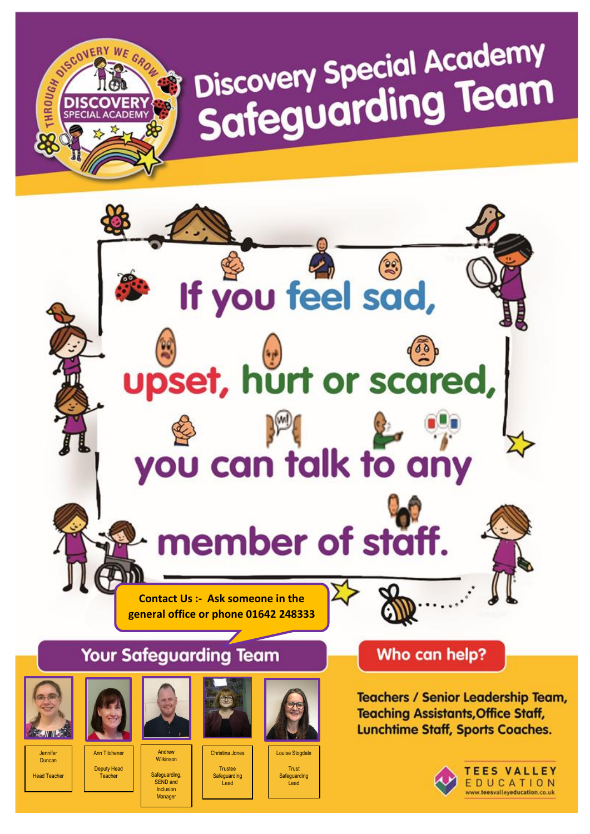# Discovery Special Academy<br>Safeguarding Team



Jennife Duncan

**Head Teacher** 

Ann Titchene Deputy Head **Teacher** 

RESCOVERY WE GROW

**Andrey** Wilkinson **Safeguarding** SEND and Inclusion

Manager

Christina Jones Trustee **Safeguarding** Lead

Louise Stogdale Trust **Safeguarding** Lead

**Teachers / Senior Leadership Team, Teaching Assistants, Office Staff, Lunchtime Staff, Sports Coaches.** 



**TEES VALLEY** EDUCATION www.teesvalleyeducation.co.uk